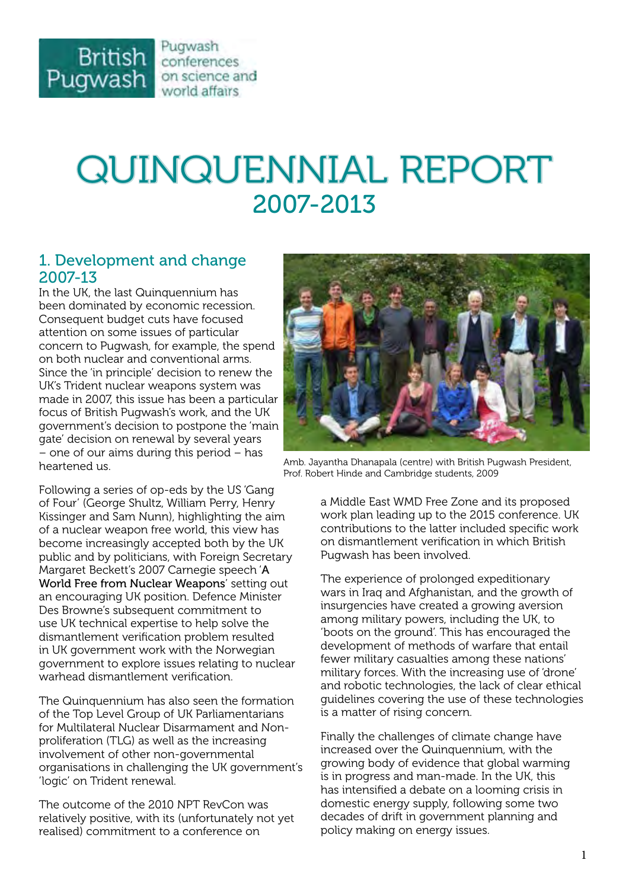

# QUINQUENNIAL REPORT 2007-2013

### 1. Development and change 2007-13

In the UK, the last Quinquennium has been dominated by economic recession. Consequent budget cuts have focused attention on some issues of particular concern to Pugwash, for example, the spend on both nuclear and conventional arms. Since the 'in principle' decision to renew the UK's Trident nuclear weapons system was made in 2007, this issue has been a particular focus of British Pugwash's work, and the UK government's decision to postpone the 'main gate' decision on renewal by several years – one of our aims during this period – has heartened us.

Following a series of op-eds by the US 'Gang of Four' (George Shultz, William Perry, Henry Kissinger and Sam Nunn), highlighting the aim of a nuclear weapon free world, this view has become increasingly accepted both by the UK public and by politicians, with Foreign Secretary Margaret Beckett's 2007 Carnegie speech '[A](http://tinyurl.com/psqx8ol)  [World Free from Nuclear Weapons](http://tinyurl.com/psqx8ol)' setting out an encouraging UK position. Defence Minister Des Browne's subsequent commitment to use UK technical expertise to help solve the dismantlement verification problem resulted in UK government work with the Norwegian government to explore issues relating to nuclear warhead dismantlement verification.

The Quinquennium has also seen the formation of the Top Level Group of UK Parliamentarians for Multilateral Nuclear Disarmament and Nonproliferation (TLG) as well as the increasing involvement of other non-governmental organisations in challenging the UK government's 'logic' on Trident renewal.

The outcome of the 2010 NPT RevCon was relatively positive, with its (unfortunately not yet realised) commitment to a conference on



Amb. Jayantha Dhanapala (centre) with British Pugwash President, Prof. Robert Hinde and Cambridge students, 2009

a Middle East WMD Free Zone and its proposed work plan leading up to the 2015 conference. UK contributions to the latter included specific work on dismantlement verification in which British Pugwash has been involved.

The experience of prolonged expeditionary wars in Iraq and Afghanistan, and the growth of insurgencies have created a growing aversion among military powers, including the UK, to 'boots on the ground'. This has encouraged the development of methods of warfare that entail fewer military casualties among these nations' military forces. With the increasing use of 'drone' and robotic technologies, the lack of clear ethical guidelines covering the use of these technologies is a matter of rising concern.

Finally the challenges of climate change have increased over the Quinquennium, with the growing body of evidence that global warming is in progress and man-made. In the UK, this has intensified a debate on a looming crisis in domestic energy supply, following some two decades of drift in government planning and policy making on energy issues.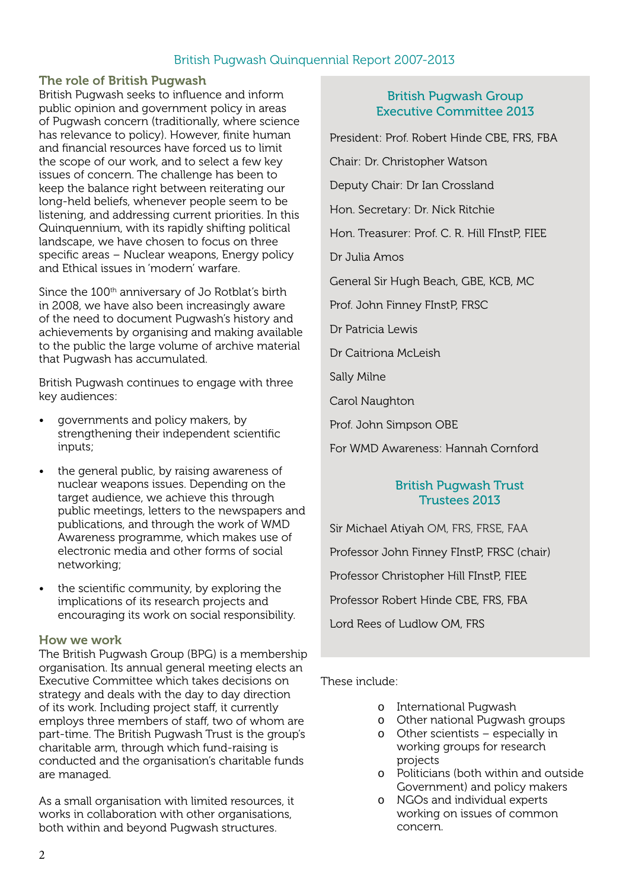#### The role of British Pugwash

British Pugwash seeks to influence and inform public opinion and government policy in areas of Pugwash concern (traditionally, where science has relevance to policy). However, finite human and financial resources have forced us to limit the scope of our work, and to select a few key issues of concern. The challenge has been to keep the balance right between reiterating our long-held beliefs, whenever people seem to be listening, and addressing current priorities. In this Quinquennium, with its rapidly shifting political landscape, we have chosen to focus on three specific areas – Nuclear weapons, Energy policy and Ethical issues in 'modern' warfare.

Since the 100<sup>th</sup> anniversary of Jo Rotblat's birth in 2008, we have also been increasingly aware of the need to document Pugwash's history and achievements by organising and making available to the public the large volume of archive material that Pugwash has accumulated.

British Pugwash continues to engage with three key audiences:

- governments and policy makers, by strengthening their independent scientific inputs;
- the general public, by raising awareness of nuclear weapons issues. Depending on the target audience, we achieve this through public meetings, letters to the newspapers and publications, and through the work of WMD Awareness programme, which makes use of electronic media and other forms of social networking;
- the scientific community, by exploring the implications of its research projects and encouraging its work on social responsibility.

#### How we work

The British Pugwash Group (BPG) is a membership organisation. Its annual general meeting elects an Executive Committee which takes decisions on strategy and deals with the day to day direction of its work. Including project staff, it currently employs three members of staff, two of whom are part-time. The British Pugwash Trust is the group's charitable arm, through which fund-raising is conducted and the organisation's charitable funds are managed.

As a small organisation with limited resources, it works in collaboration with other organisations, both within and beyond Pugwash structures.

#### British Pugwash Group Executive Committee 2013

President: Prof. Robert Hinde CBE, FRS, FBA

Chair: Dr. Christopher Watson

Deputy Chair: Dr Ian Crossland

Hon. Secretary: Dr. Nick Ritchie

Hon. Treasurer: Prof. C. R. Hill FInstP, FIEE

Dr Julia Amos

General Sir Hugh Beach, GBE, KCB, MC

Prof. John Finney FInstP, FRSC

Dr Patricia Lewis

Dr Caitriona McLeish

Sally Milne

Carol Naughton

Prof. John Simpson OBE

For WMD Awareness: Hannah Cornford

#### British Pugwash Trust Trustees 2013

Sir Michael Ativah OM, FRS, FRSE, FAA Professor John Finney FInstP, FRSC (chair) Professor Christopher Hill FInstP, FIEE Professor Robert Hinde CBE, FRS, FBA

Lord Rees of Ludlow OM, FRS

#### These include:

- o International Pugwash
- o Other national Pugwash groups
- o Other scientists especially in working groups for research projects
- o Politicians (both within and outside Government) and policy makers
- o NGOs and individual experts working on issues of common concern.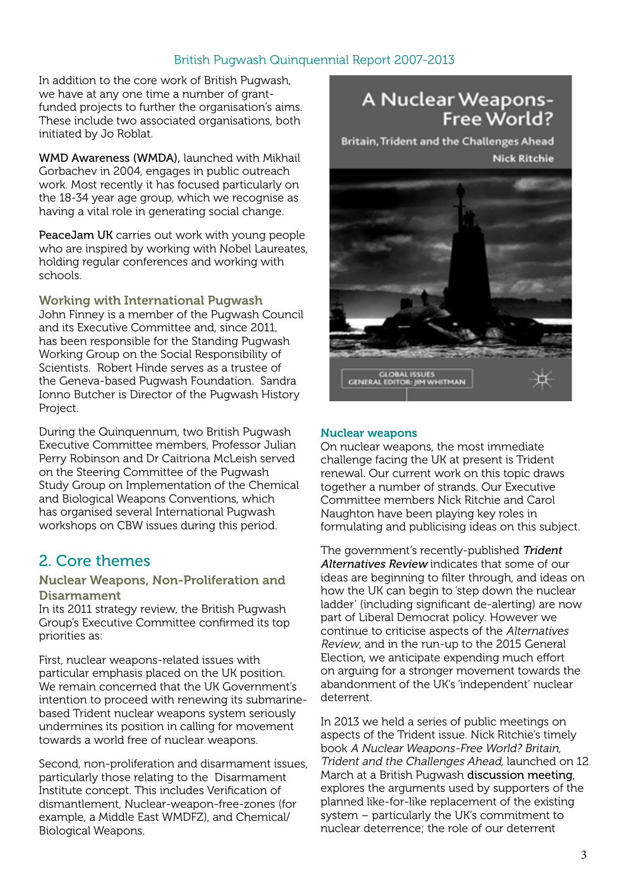In addition to the core work of British Pugwash, we have at any one time a number of grantfunded projects to further the organisation's aims. These include two associated organisations, both initiated by Jo Roblat.

WMD Awareness (WMDA), launched with Mikhail Gorbachev in 2004, engages in public outreach work. Most recently it has focused particularly on the 18-34 year age group, which we recognise as having a vital role in generating social change.

PeaceJam UK carries out work with young people who are inspired by working with Nobel Laureates, holding regular conferences and working with schools.

Working with International Pugwash John Finney is a member of the Pugwash Council

and its Executive Committee and, since 2011, has been responsible for the Standing Pugwash Working Group on the Social Responsibility of Scientists. Robert Hinde serves as a trustee of the Geneva-based Pugwash Foundation. Sandra Ionno Butcher is Director of the Pugwash History Project.

During the Quinquennum, two British Pugwash Executive Committee members, Professor Julian Perry Robinson and Dr Caitriona McLeish served on the Steering Committee of the Pugwash Study Group on Implementation of the Chemical and Biological Weapons Conventions, which has organised several International Pugwash workshops on CBW issues during this period.

# 2. Core themes

#### Nuclear Weapons, Non-Proliferation and Disarmament

In its 2011 strategy review, the British Pugwash Group's Executive Committee confirmed its top priorities as:

First, nuclear weapons-related issues with particular emphasis placed on the UK position. We remain concerned that the UK Government's intention to proceed with renewing its submarinebased Trident nuclear weapons system seriously undermines its position in calling for movement towards a world free of nuclear weapons.

Second, non-proliferation and disarmament issues, particularly those relating to the Disarmament Institute concept. This includes Verification of dismantlement, Nuclear-weapon-free-zones (for example, a Middle East WMDFZ), and Chemical/ Biological Weapons.

# A Nuclear Weapons-Free World?

Britain, Trident and the Challenges Ahead **Nick Ritchie** 



#### Nuclear weapons

On nuclear weapons, the most immediate challenge facing the UK at present is Trident renewal. Our current work on this topic draws together a number of strands. Our Executive Committee members Nick Ritchie and Carol Naughton have been playing key roles in formulating and publicising ideas on this subject.

The government's recently-published Trident [Alternatives Review](http://tinyurl.com/o7e5val) indicates that some of our ideas are beginning to filter through, and ideas on how the UK can begin to 'step down the nuclear ladder' (including significant de-alerting) are now part of Liberal Democrat policy. However we continue to criticise aspects of the Alternatives Review, and in the run-up to the 2015 General Election, we anticipate expending much effort on arguing for a stronger movement towards the abandonment of the UK's 'independent' nuclear deterrent.

In 2013 we held a series of public meetings on aspects of the Trident issue. Nick Ritchie's timely book A Nuclear Weapons-Free World? Britain, Trident and the Challenges Ahead, launched on 12 March at a British Pugwash [discussion meeting](http://tinyurl.com/phh52z4), explores the arguments used by supporters of the planned like-for-like replacement of the existing system – particularly the UK's commitment to nuclear deterrence; the role of our deterrent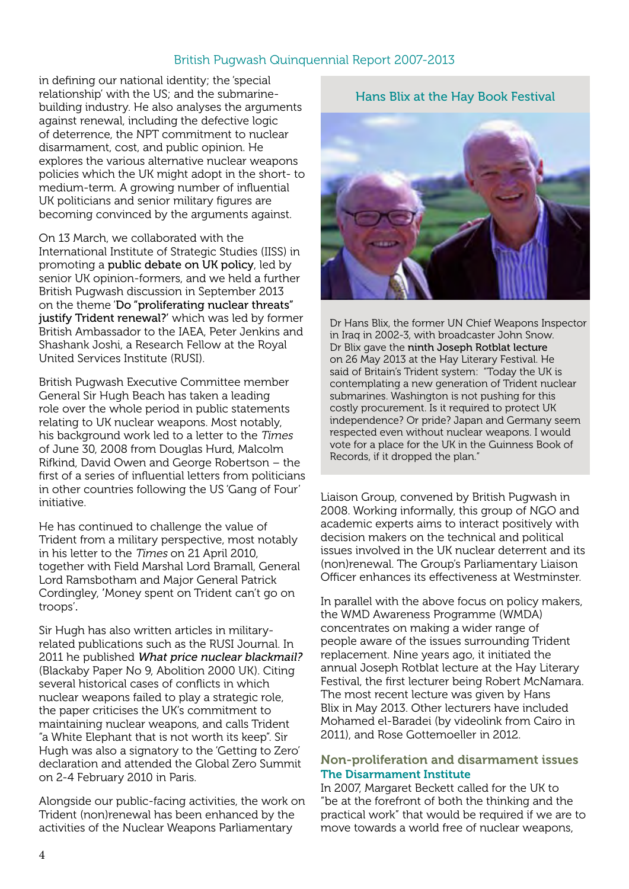in defining our national identity; the 'special relationship' with the US; and the submarinebuilding industry. He also analyses the arguments against renewal, including the defective logic of deterrence, the NPT commitment to nuclear disarmament, cost, and public opinion. He explores the various alternative nuclear weapons policies which the UK might adopt in the short- to medium-term. A growing number of influential UK politicians and senior military figures are becoming convinced by the arguments against.

On 13 March, we collaborated with the International Institute of Strategic Studies (IISS) in promoting a [public debate on UK policy](http://tinyurl.com/ndnxj73), led by senior UK opinion-formers, and we held a further British Pugwash discussion in September 2013 on the theme '[Do "proliferating nuclear threats"](http://tinyurl.com/nzcog25)  [justify Trident renewal?](http://tinyurl.com/nzcog25)' which was led by former British Ambassador to the IAEA, Peter Jenkins and Shashank Joshi, a Research Fellow at the Royal United Services Institute (RUSI).

British Pugwash Executive Committee member General Sir Hugh Beach has taken a leading role over the whole period in public statements relating to UK nuclear weapons. Most notably, his background work led to a letter to the Times of June 30, 2008 from Douglas Hurd, Malcolm Rifkind, David Owen and George Robertson – the first of a series of influential letters from politicians in other countries following the US 'Gang of Four' initiative.

He has continued to challenge the value of Trident from a military perspective, most notably in his letter to the Times on 21 April 2010, together with Field Marshal Lord Bramall, General Lord Ramsbotham and Major General Patrick Cordingley, 'Money spent on Trident can't go on troops'.

Sir Hugh has also written articles in militaryrelated publications such as the RUSI Journal. In 2011 he published What price nuclear blackmail? (Blackaby Paper No 9, Abolition 2000 UK). Citing several historical cases of conflicts in which nuclear weapons failed to play a strategic role, the paper criticises the UK's commitment to maintaining nuclear weapons, and calls Trident "a White Elephant that is not worth its keep". Sir Hugh was also a signatory to the 'Getting to Zero' declaration and attended the Global Zero Summit on 2-4 February 2010 in Paris.

Alongside our public-facing activities, the work on Trident (non)renewal has been enhanced by the activities of the Nuclear Weapons Parliamentary

Hans Blix at the Hay Book Festival

Dr Hans Blix, the former UN Chief Weapons Inspector in Iraq in 2002-3, with broadcaster John Snow. Dr Blix gave the [ninth Joseph Rotblat lecture](http://tinyurl.com/npdtlmj) on 26 May 2013 at the Hay Literary Festival. He said of Britain's Trident system: "Today the UK is contemplating a new generation of Trident nuclear submarines. Washington is not pushing for this costly procurement. Is it required to protect UK independence? Or pride? Japan and Germany seem respected even without nuclear weapons. I would vote for a place for the UK in the Guinness Book of Records, if it dropped the plan."

Liaison Group, convened by British Pugwash in 2008. Working informally, this group of NGO and academic experts aims to interact positively with decision makers on the technical and political issues involved in the UK nuclear deterrent and its (non)renewal. The Group's Parliamentary Liaison Officer enhances its effectiveness at Westminster.

In parallel with the above focus on policy makers, the WMD Awareness Programme (WMDA) concentrates on making a wider range of people aware of the issues surrounding Trident replacement. Nine years ago, it initiated the annual Joseph Rotblat lecture at the Hay Literary Festival, the first lecturer being Robert McNamara. The most recent lecture was given by Hans Blix in May 2013. Other lecturers have included Mohamed el-Baradei (by videolink from Cairo in 2011), and Rose Gottemoeller in 2012.

#### Non-proliferation and disarmament issues The Disarmament Institute

In 2007, Margaret Beckett called for the UK to "be at the forefront of both the thinking and the practical work" that would be required if we are to move towards a world free of nuclear weapons,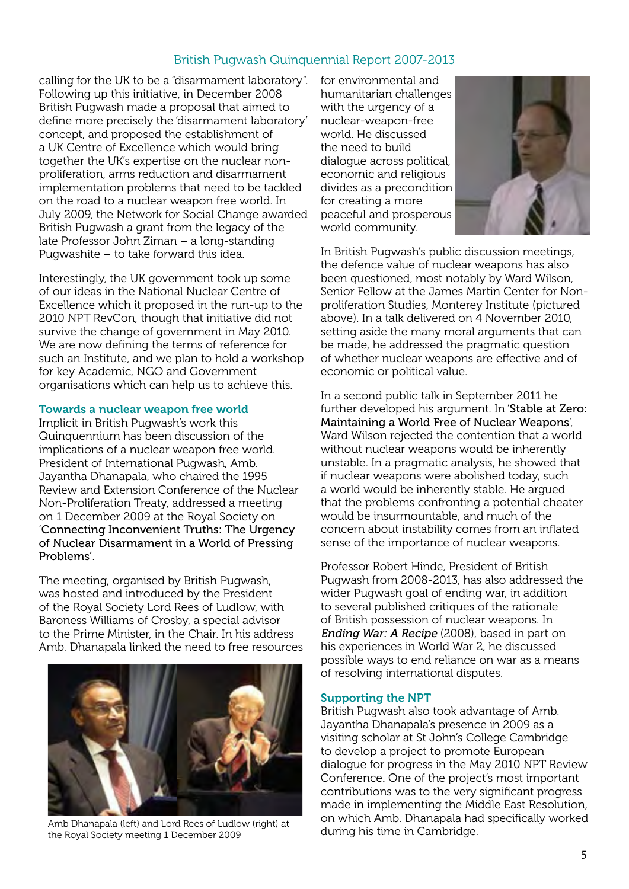calling for the UK to be a "disarmament laboratory". Following up this initiative, in December 2008 British Pugwash made a proposal that aimed to define more precisely the 'disarmament laboratory' concept, and proposed the establishment of a UK Centre of Excellence which would bring together the UK's expertise on the nuclear nonproliferation, arms reduction and disarmament implementation problems that need to be tackled on the road to a nuclear weapon free world. In July 2009, the Network for Social Change awarded British Pugwash a grant from the legacy of the late Professor John Ziman – a long-standing Pugwashite – to take forward this idea.

Interestingly, the UK government took up some of our ideas in the National Nuclear Centre of Excellence which it proposed in the run-up to the 2010 NPT RevCon, though that initiative did not survive the change of government in May 2010. We are now defining the terms of reference for such an Institute, and we plan to hold a workshop for key Academic, NGO and Government organisations which can help us to achieve this.

#### Towards a nuclear weapon free world

Implicit in British Pugwash's work this Quinquennium has been discussion of the implications of a nuclear weapon free world. President of International Pugwash, Amb. Jayantha Dhanapala, who chaired the 1995 Review and Extension Conference of the Nuclear Non-Proliferation Treaty, addressed a meeting on 1 December 2009 at the Royal Society on '[Connecting Inconvenient Truths:](http://www.britishpugwash.org/documents/CONNECTING_INCONVENIENT_TRUTHS_Dhanapala.pdf) The Urgency of Nuclear Disarmament in a World of Pressing Problems'.

The meeting, organised by British Pugwash, was hosted and introduced by the President of the Royal Society Lord Rees of Ludlow, with Baroness Williams of Crosby, a special advisor to the Prime Minister, in the Chair. In his address Amb. Dhanapala linked the need to free resources



Amb Dhanapala (left) and Lord Rees of Ludlow (right) at Cambridge.<br>the Boyal Society meeting 1 December 2009 during his time in Cambridge. the Royal Society meeting 1 December 2009

for environmental and humanitarian challenges with the urgency of a nuclear-weapon-free world. He discussed the need to build dialogue across political, economic and religious divides as a precondition for creating a more peaceful and prosperous world community.



In British Pugwash's public discussion meetings, the defence value of nuclear weapons has also been questioned, most notably by Ward Wilson, Senior Fellow at the James Martin Center for Nonproliferation Studies, Monterey Institute (pictured above). In a talk delivered on 4 November 2010, setting aside the many moral arguments that can be made, he addressed the pragmatic question of whether nuclear weapons are effective and of economic or political value.

In a second public talk in September 2011 he further developed his argument. In '[Stable at Zero:](http://tinyurl.com/pyfj3t8)  [Maintaining a World Free of Nuclear Weapons](http://tinyurl.com/pyfj3t8)', Ward Wilson rejected the contention that a world without nuclear weapons would be inherently unstable. In a pragmatic analysis, he showed that if nuclear weapons were abolished today, such a world would be inherently stable. He argued that the problems confronting a potential cheater would be insurmountable, and much of the concern about instability comes from an inflated sense of the importance of nuclear weapons.

Professor Robert Hinde, President of British Pugwash from 2008-2013, has also addressed the wider Pugwash goal of ending war, in addition to several published critiques of the rationale of British possession of nuclear weapons. In [Ending War: A Recipe](http://tinyurl.com/nd69ssp) (2008), based in part on his experiences in World War 2, he discussed possible ways to end reliance on war as a means of resolving international disputes.

#### Supporting the NPT

British Pugwash also took advantage of Amb. Jayantha Dhanapala's presence in 2009 as a visiting scholar at St John's College Cambridge to develop a project to promote European dialogue for progress in the May 2010 NPT Review Conference. One of the project's most important contributions was to the very significant progress made in implementing the Middle East Resolution, on which Amb. Dhanapala had specifically worked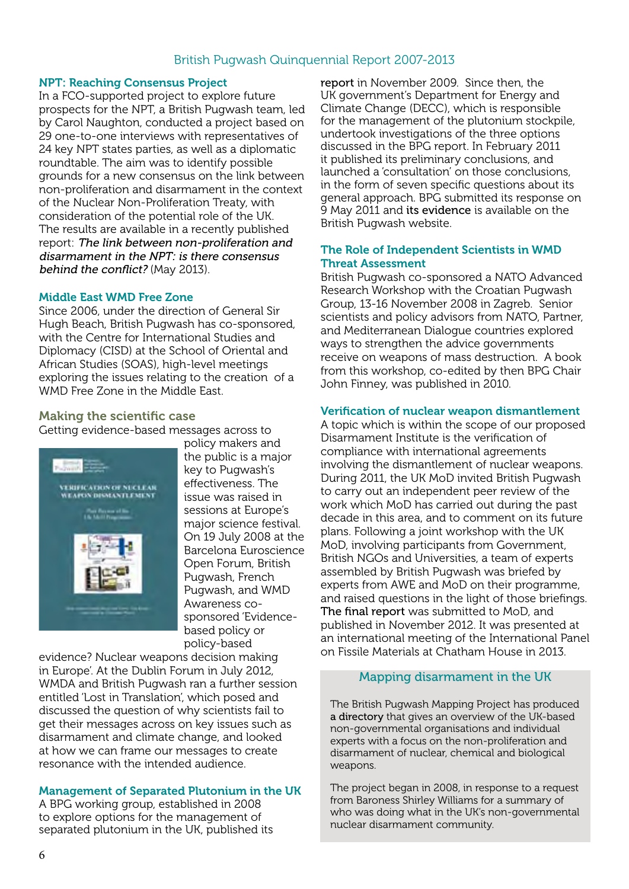#### NPT: Reaching Consensus Project

In a FCO-supported project to explore future prospects for the NPT, a British Pugwash team, led by Carol Naughton, conducted a project based on 29 one-to-one interviews with representatives of 24 key NPT states parties, as well as a diplomatic roundtable. The aim was to identify possible grounds for a new consensus on the link between non-proliferation and disarmament in the context of the Nuclear Non-Proliferation Treaty, with consideration of the potential role of the UK. The results are available in a recently published report: [The link between non-proliferation and](http://tinyurl.com/nus2ws9)  [disarmament in the NPT: is there consensus](http://tinyurl.com/nus2ws9)  [behind the conflict](http://tinyurl.com/nus2ws9)? (May 2013).

#### Middle East WMD Free Zone

Since 2006, under the direction of General Sir Hugh Beach, British Pugwash has co-sponsored, with the Centre for International Studies and Diplomacy (CISD) at the School of Oriental and African Studies (SOAS), high-level meetings exploring the issues relating to the creation of a WMD Free Zone in the Middle East.

#### Making the scientific case

Getting evidence-based messages across to



policy makers and the public is a major key to Pugwash's effectiveness. The issue was raised in sessions at Europe's major science festival. On 19 July 2008 at the Barcelona Euroscience Open Forum, British Pugwash, French Pugwash, and WMD Awareness cosponsored 'Evidencebased policy or policy-based

evidence? Nuclear weapons decision making in Europe'. At the Dublin Forum in July 2012, WMDA and British Pugwash ran a further session entitled 'Lost in Translation', which posed and discussed the question of why scientists fail to get their messages across on key issues such as disarmament and climate change, and looked at how we can frame our messages to create resonance with the intended audience.

#### Management of Separated Plutonium in the UK

A BPG working group, established in 2008 to explore options for the management of separated plutonium in the UK, published its [report](http://www.britishpugwash.org/documents/Manage_Sep_Plutonium_2009_fin_Color_2.pdf) in November 2009. Since then, the UK government's Department for Energy and Climate Change (DECC), which is responsible for the management of the plutonium stockpile, undertook investigations of the three options discussed in the BPG report. In February 2011 it published its preliminary conclusions, and launched a 'consultation' on those conclusions, in the form of seven specific questions about its general approach. BPG submitted its response on 9 May 2011 and [its evidence](http://tinyurl.com/q3goac9) is available on the British Pugwash website.

#### The Role of Independent Scientists in WMD Threat Assessment

British Pugwash co-sponsored a NATO Advanced Research Workshop with the Croatian Pugwash Group, 13-16 November 2008 in Zagreb. Senior scientists and policy advisors from NATO, Partner, and Mediterranean Dialogue countries explored ways to strengthen the advice governments receive on weapons of mass destruction. A book from this workshop, co-edited by then BPG Chair John Finney, was published in 2010.

#### Verification of nuclear weapon dismantlement

A topic which is within the scope of our proposed Disarmament Institute is the verification of compliance with international agreements involving the dismantlement of nuclear weapons. During 2011, the UK MoD invited British Pugwash to carry out an independent peer review of the work which MoD has carried out during the past decade in this area, and to comment on its future plans. Following a joint workshop with the UK MoD, involving participants from Government, British NGOs and Universities, a team of experts assembled by British Pugwash was briefed by experts from AWE and MoD on their programme, and raised questions in the light of those briefings. [The final report](http://tinyurl.com/nv4p4bm) was submitted to MoD, and published in November 2012. It was presented at an international meeting of the International Panel on Fissile Materials at Chatham House in 2013.

#### Mapping disarmament in the UK

The British Pugwash Mapping Project has produced [a directory](http://tinyurl.com/q5qplxt) that gives an overview of the UK-based non-governmental organisations and individual experts with a focus on the non-proliferation and disarmament of nuclear, chemical and biological weapons.

The project began in 2008, in response to a request from Baroness Shirley Williams for a summary of who was doing what in the UK's non-governmental nuclear disarmament community.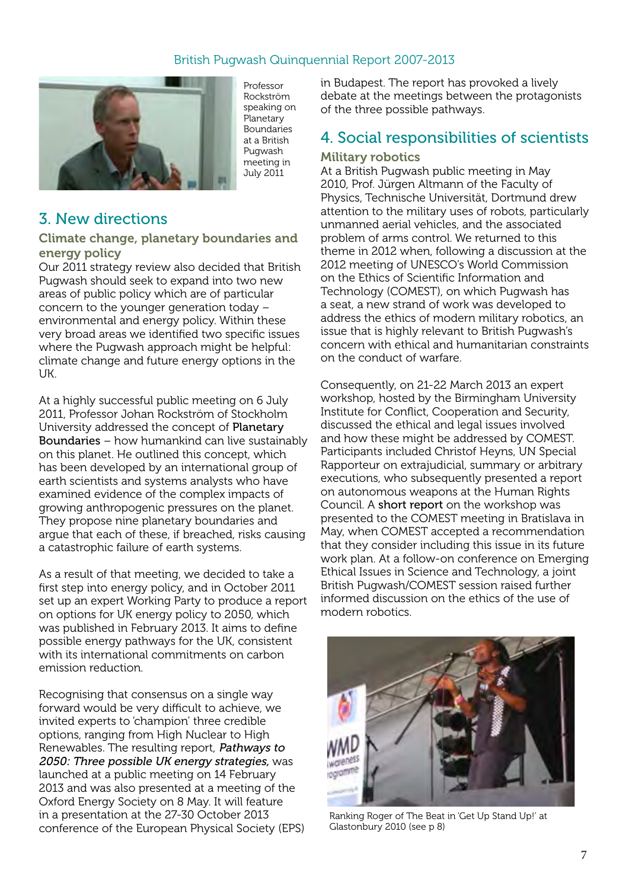

Professor Rockström speaking on Planetary Boundaries at a British Pugwash meeting in July 2011

# 3. New directions

#### Climate change, planetary boundaries and energy policy

Our 2011 strategy review also decided that British Pugwash should seek to expand into two new areas of public policy which are of particular concern to the younger generation today – environmental and energy policy. Within these very broad areas we identified two specific issues where the Pugwash approach might be helpful: climate change and future energy options in the UK.

At a highly successful public meeting on 6 July 2011, Professor Johan Rockström of Stockholm University addressed the concept of [Planetary](http://www.britishpugwash.org/documents/PB_presentations.pdf)  [Boundaries](http://www.britishpugwash.org/documents/PB_presentations.pdf) – how humankind can live sustainably on this planet. He outlined this concept, which has been developed by an international group of earth scientists and systems analysts who have examined evidence of the complex impacts of growing anthropogenic pressures on the planet. They propose nine planetary boundaries and argue that each of these, if breached, risks causing a catastrophic failure of earth systems.

As a result of that meeting, we decided to take a first step into energy policy, and in October 2011 set up an expert Working Party to produce a report on options for UK energy policy to 2050, which was published in February 2013. It aims to define possible energy pathways for the UK, consistent with its international commitments on carbon emission reduction.

Recognising that consensus on a single way forward would be very difficult to achieve, we invited experts to 'champion' three credible options, ranging from High Nuclear to High Renewables. The resulting report, [Pathways to](http://tinyurl.com/cvsuwyh)  [2050: Three possible UK energy strategies](http://tinyurl.com/nd69ssp), was launched at a public meeting on 14 February 2013 and was also presented at a meeting of the Oxford Energy Society on 8 May. It will feature in a presentation at the 27-30 October 2013 conference of the European Physical Society (EPS) in Budapest. The report has provoked a lively debate at the meetings between the protagonists of the three possible pathways.

## 4. Social responsibilities of scientists Military robotics

At a British Pugwash public meeting in May 2010, Prof. Jürgen Altmann of the Faculty of Physics, Technische Universität, Dortmund drew attention to the military uses of robots, particularly unmanned aerial vehicles, and the associated problem of arms control. We returned to this theme in 2012 when, following a discussion at the 2012 meeting of UNESCO's World Commission on the Ethics of Scientific Information and Technology (COMEST), on which Pugwash has a seat, a new strand of work was developed to address the ethics of modern military robotics, an issue that is highly relevant to British Pugwash's concern with ethical and humanitarian constraints on the conduct of warfare.

Consequently, on 21-22 March 2013 an expert workshop, hosted by the Birmingham University Institute for Conflict, Cooperation and Security, discussed the ethical and legal issues involved and how these might be addressed by COMEST. Participants included Christof Heyns, UN Special Rapporteur on extrajudicial, summary or arbitrary executions, who subsequently presented a report on autonomous weapons at the Human Rights Council. A [short report](http://tinyurl.com/qybnwwr) on the workshop was presented to the COMEST meeting in Bratislava in May, when COMEST accepted a recommendation that they consider including this issue in its future work plan. At a follow-on conference on Emerging Ethical Issues in Science and Technology, a joint British Pugwash/COMEST session raised further informed discussion on the ethics of the use of modern robotics.



Ranking Roger of The Beat in 'Get Up Stand Up!' at Glastonbury 2010 (see p 8)